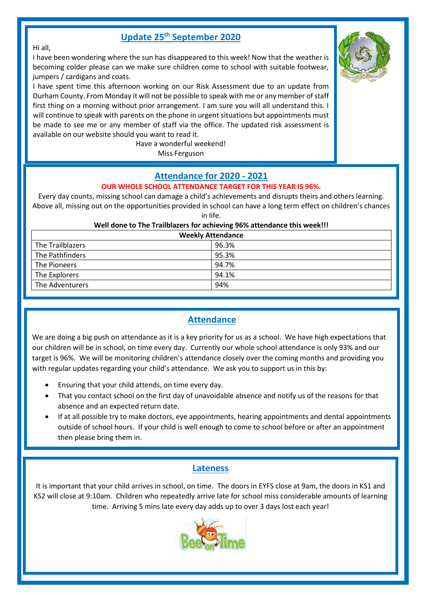# **Update 25th September 2020**

#### Hi all,

I have been wondering where the sun has disappeared to this week! Now that the weather is becoming colder please can we make sure children come to school with suitable footwear, jumpers / cardigans and coats.

I have spent time this afternoon working on our Risk Assessment due to an update from Durham County. From Monday it will not be possible to speak with me or any member of staff first thing on a morning without prior arrangement. I am sure you will all understand this. I will continue to speak with parents on the phone in urgent situations but appointments must be made to see me or any member of staff via the office. The updated risk assessment is available on our website should you want to read it.

Have a wonderful weekend! Miss Ferguson

# **Attendance for 2020 - 2021**

#### **OUR WHOLE SCHOOL ATTENDANCE TARGET FOR THIS YEAR IS 96%.**

Every day counts, missing school can damage a child's achievements and disrupts theirs and others learning. Above all, missing out on the opportunities provided in school can have a long term effect on children's chances in life.

| <b>Weekly Attendance</b> |       |  |
|--------------------------|-------|--|
| The Trailblazers         | 96.3% |  |
| The Pathfinders          | 95.3% |  |
| The Pioneers             | 94.7% |  |
| The Explorers            | 94.1% |  |
| The Adventurers          | 94%   |  |

# **Attendance**

We are doing a big push on attendance as it is a key priority for us as a school. We have high expectations that our children will be in school, on time every day. Currently our whole school attendance is only 93% and our target is 96%. We will be monitoring children's attendance closely over the coming months and providing you with regular updates regarding your child's attendance. We ask you to support us in this by:

- Ensuring that your child attends, on time every day.
- That you contact school on the first day of unavoidable absence and notify us of the reasons for that absence and an expected return date.
- If at all possible try to make doctors, eye appointments, hearing appointments and dental appointments outside of school hours. If your child is well enough to come to school before or after an appointment then please bring them in.

## **Lateness**

It is important that your child arrives in school, on time. The doors in EYFS close at 9am, the doors in KS1 and KS2 will close at 9:10am. Children who repeatedly arrive late for school miss considerable amounts of learning time. Arriving 5 mins late every day adds up to over 3 days lost each year!